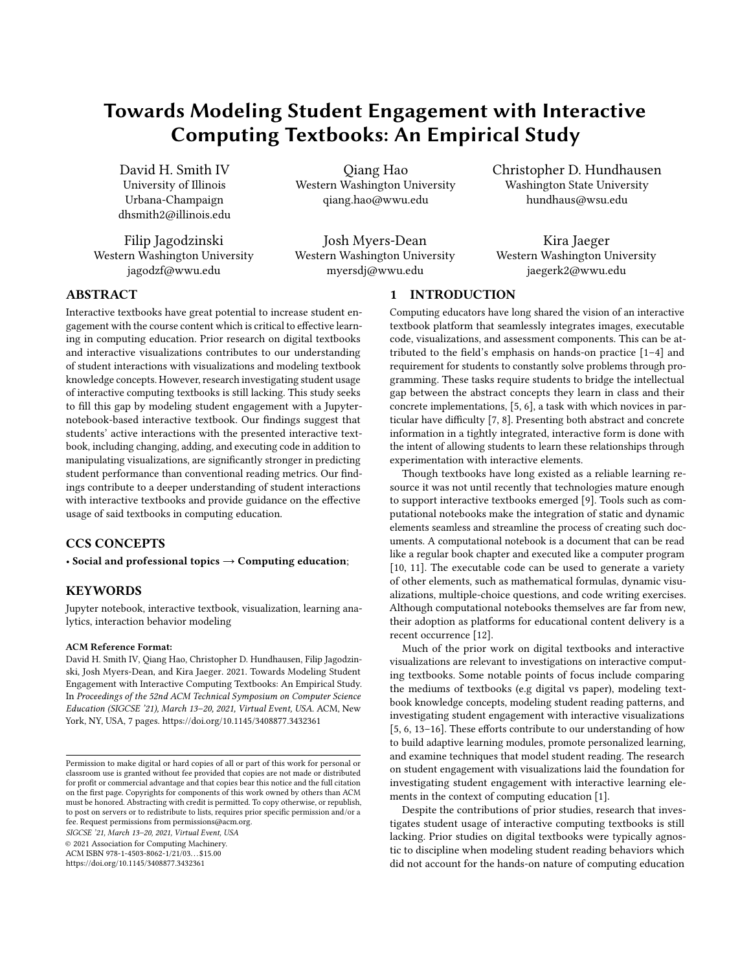# Towards Modeling Student Engagement with Interactive Computing Textbooks: An Empirical Study

David H. Smith IV University of Illinois Urbana-Champaign dhsmith2@illinois.edu

Filip Jagodzinski Western Washington University jagodzf@wwu.edu

Qiang Hao Western Washington University qiang.hao@wwu.edu

Josh Myers-Dean Western Washington University myersdj@wwu.edu

Christopher D. Hundhausen Washington State University hundhaus@wsu.edu

Kira Jaeger Western Washington University jaegerk2@wwu.edu

## ABSTRACT

Interactive textbooks have great potential to increase student engagement with the course content which is critical to effective learning in computing education. Prior research on digital textbooks and interactive visualizations contributes to our understanding of student interactions with visualizations and modeling textbook knowledge concepts. However, research investigating student usage of interactive computing textbooks is still lacking. This study seeks to fill this gap by modeling student engagement with a Jupyternotebook-based interactive textbook. Our findings suggest that students' active interactions with the presented interactive textbook, including changing, adding, and executing code in addition to manipulating visualizations, are significantly stronger in predicting student performance than conventional reading metrics. Our findings contribute to a deeper understanding of student interactions with interactive textbooks and provide guidance on the effective usage of said textbooks in computing education.

## CCS CONCEPTS

• Social and professional topics  $\rightarrow$  Computing education;

## **KEYWORDS**

Jupyter notebook, interactive textbook, visualization, learning analytics, interaction behavior modeling

#### ACM Reference Format:

David H. Smith IV, Qiang Hao, Christopher D. Hundhausen, Filip Jagodzinski, Josh Myers-Dean, and Kira Jaeger. 2021. Towards Modeling Student Engagement with Interactive Computing Textbooks: An Empirical Study. In Proceedings of the 52nd ACM Technical Symposium on Computer Science Education (SIGCSE '21), March 13–20, 2021, Virtual Event, USA. ACM, New York, NY, USA, [7](#page-6-0) pages.<https://doi.org/10.1145/3408877.3432361>

SIGCSE '21, March 13–20, 2021, Virtual Event, USA

© 2021 Association for Computing Machinery. ACM ISBN 978-1-4503-8062-1/21/03. . . \$15.00

<https://doi.org/10.1145/3408877.3432361>

1 INTRODUCTION

Computing educators have long shared the vision of an interactive textbook platform that seamlessly integrates images, executable code, visualizations, and assessment components. This can be attributed to the field's emphasis on hands-on practice [\[1](#page-6-1)[–4\]](#page-6-2) and requirement for students to constantly solve problems through programming. These tasks require students to bridge the intellectual gap between the abstract concepts they learn in class and their concrete implementations, [\[5,](#page-6-3) [6\]](#page-6-4), a task with which novices in particular have difficulty [\[7,](#page-6-5) [8\]](#page-6-6). Presenting both abstract and concrete information in a tightly integrated, interactive form is done with the intent of allowing students to learn these relationships through experimentation with interactive elements.

Though textbooks have long existed as a reliable learning resource it was not until recently that technologies mature enough to support interactive textbooks emerged [\[9\]](#page-6-7). Tools such as computational notebooks make the integration of static and dynamic elements seamless and streamline the process of creating such documents. A computational notebook is a document that can be read like a regular book chapter and executed like a computer program [\[10,](#page-6-8) [11\]](#page-6-9). The executable code can be used to generate a variety of other elements, such as mathematical formulas, dynamic visualizations, multiple-choice questions, and code writing exercises. Although computational notebooks themselves are far from new, their adoption as platforms for educational content delivery is a recent occurrence [\[12\]](#page-6-10).

Much of the prior work on digital textbooks and interactive visualizations are relevant to investigations on interactive computing textbooks. Some notable points of focus include comparing the mediums of textbooks (e.g digital vs paper), modeling textbook knowledge concepts, modeling student reading patterns, and investigating student engagement with interactive visualizations [\[5,](#page-6-3) [6,](#page-6-4) [13](#page-6-11)[–16\]](#page-6-12). These efforts contribute to our understanding of how to build adaptive learning modules, promote personalized learning, and examine techniques that model student reading. The research on student engagement with visualizations laid the foundation for investigating student engagement with interactive learning elements in the context of computing education [\[1\]](#page-6-1).

Despite the contributions of prior studies, research that investigates student usage of interactive computing textbooks is still lacking. Prior studies on digital textbooks were typically agnostic to discipline when modeling student reading behaviors which did not account for the hands-on nature of computing education

Permission to make digital or hard copies of all or part of this work for personal or classroom use is granted without fee provided that copies are not made or distributed for profit or commercial advantage and that copies bear this notice and the full citation on the first page. Copyrights for components of this work owned by others than ACM must be honored. Abstracting with credit is permitted. To copy otherwise, or republish, to post on servers or to redistribute to lists, requires prior specific permission and/or a fee. Request permissions from permissions@acm.org.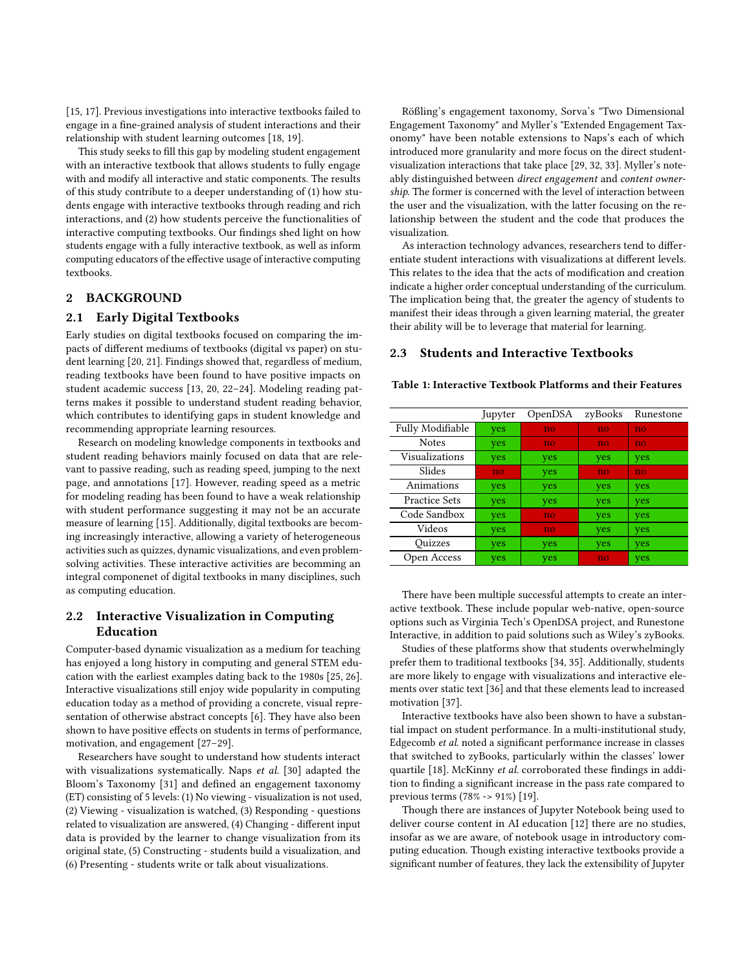[\[15,](#page-6-13) [17\]](#page-6-14). Previous investigations into interactive textbooks failed to engage in a fine-grained analysis of student interactions and their relationship with student learning outcomes [\[18,](#page-6-15) [19\]](#page-6-16).

This study seeks to fill this gap by modeling student engagement with an interactive textbook that allows students to fully engage with and modify all interactive and static components. The results of this study contribute to a deeper understanding of (1) how students engage with interactive textbooks through reading and rich interactions, and (2) how students perceive the functionalities of interactive computing textbooks. Our findings shed light on how students engage with a fully interactive textbook, as well as inform computing educators of the effective usage of interactive computing textbooks.

## 2 BACKGROUND

#### 2.1 Early Digital Textbooks

Early studies on digital textbooks focused on comparing the impacts of different mediums of textbooks (digital vs paper) on student learning [\[20,](#page-6-17) [21\]](#page-6-18). Findings showed that, regardless of medium, reading textbooks have been found to have positive impacts on student academic success [\[13,](#page-6-11) [20,](#page-6-17) [22–](#page-6-19)[24\]](#page-6-20). Modeling reading patterns makes it possible to understand student reading behavior, which contributes to identifying gaps in student knowledge and recommending appropriate learning resources.

Research on modeling knowledge components in textbooks and student reading behaviors mainly focused on data that are relevant to passive reading, such as reading speed, jumping to the next page, and annotations [\[17\]](#page-6-14). However, reading speed as a metric for modeling reading has been found to have a weak relationship with student performance suggesting it may not be an accurate measure of learning [\[15\]](#page-6-13). Additionally, digital textbooks are becoming increasingly interactive, allowing a variety of heterogeneous activities such as quizzes, dynamic visualizations, and even problemsolving activities. These interactive activities are becomming an integral componenet of digital textbooks in many disciplines, such as computing education.

# 2.2 Interactive Visualization in Computing Education

Computer-based dynamic visualization as a medium for teaching has enjoyed a long history in computing and general STEM education with the earliest examples dating back to the 1980s [\[25,](#page-6-21) [26\]](#page-6-22). Interactive visualizations still enjoy wide popularity in computing education today as a method of providing a concrete, visual representation of otherwise abstract concepts [\[6\]](#page-6-4). They have also been shown to have positive effects on students in terms of performance, motivation, and engagement [\[27](#page-6-23)[–29\]](#page-6-24).

Researchers have sought to understand how students interact with visualizations systematically. Naps et al. [\[30\]](#page-6-25) adapted the Bloom's Taxonomy [\[31\]](#page-6-26) and defined an engagement taxonomy (ET) consisting of 5 levels: (1) No viewing - visualization is not used, (2) Viewing - visualization is watched, (3) Responding - questions related to visualization are answered, (4) Changing - different input data is provided by the learner to change visualization from its original state, (5) Constructing - students build a visualization, and (6) Presenting - students write or talk about visualizations.

Rößling's engagement taxonomy, Sorva's "Two Dimensional Engagement Taxonomy" and Myller's "Extended Engagement Taxonomy" have been notable extensions to Naps's each of which introduced more granularity and more focus on the direct studentvisualization interactions that take place [\[29,](#page-6-24) [32,](#page-6-27) [33\]](#page-6-28). Myller's noteably distinguished between direct engagement and content ownership. The former is concerned with the level of interaction between the user and the visualization, with the latter focusing on the relationship between the student and the code that produces the visualization.

As interaction technology advances, researchers tend to differentiate student interactions with visualizations at different levels. This relates to the idea that the acts of modification and creation indicate a higher order conceptual understanding of the curriculum. The implication being that, the greater the agency of students to manifest their ideas through a given learning material, the greater their ability will be to leverage that material for learning.

#### 2.3 Students and Interactive Textbooks

<span id="page-1-0"></span>Table 1: Interactive Textbook Platforms and their Features

|                      | Jupyter      | OpenDSA      | zyBooks      | Runestone    |
|----------------------|--------------|--------------|--------------|--------------|
| Fully Modifiable     | yes          | no           | no           | no           |
| Notes                | yes          | $\mathbf{n}$ | no           | $\mathbf{n}$ |
| Visualizations       | yes          | yes          | yes          | yes          |
| Slides               | $\mathbf{n}$ | yes          | $\mathbf{n}$ | no           |
| Animations           | yes          | yes          | yes          | yes          |
| <b>Practice Sets</b> | yes          | yes          | yes          | yes          |
| Code Sandbox         | yes          | no           | yes          | yes          |
| Videos               | yes          | no           | yes          | yes          |
| Ouizzes              | yes          | yes          | yes          | yes          |
| Open Access          | yes          | yes          | no           | yes          |

There have been multiple successful attempts to create an interactive textbook. These include popular web-native, open-source options such as Virginia Tech's OpenDSA project, and Runestone Interactive, in addition to paid solutions such as Wiley's zyBooks.

Studies of these platforms show that students overwhelmingly prefer them to traditional textbooks [\[34,](#page-6-29) [35\]](#page-6-30). Additionally, students are more likely to engage with visualizations and interactive elements over static text [\[36\]](#page-6-31) and that these elements lead to increased motivation [\[37\]](#page-6-32).

Interactive textbooks have also been shown to have a substantial impact on student performance. In a multi-institutional study, Edgecomb et al. noted a significant performance increase in classes that switched to zyBooks, particularly within the classes' lower quartile [\[18\]](#page-6-15). McKinny et al. corroborated these findings in addition to finding a significant increase in the pass rate compared to previous terms (78% -> 91%) [\[19\]](#page-6-16).

Though there are instances of Jupyter Notebook being used to deliver course content in AI education [\[12\]](#page-6-10) there are no studies, insofar as we are aware, of notebook usage in introductory computing education. Though existing interactive textbooks provide a significant number of features, they lack the extensibility of Jupyter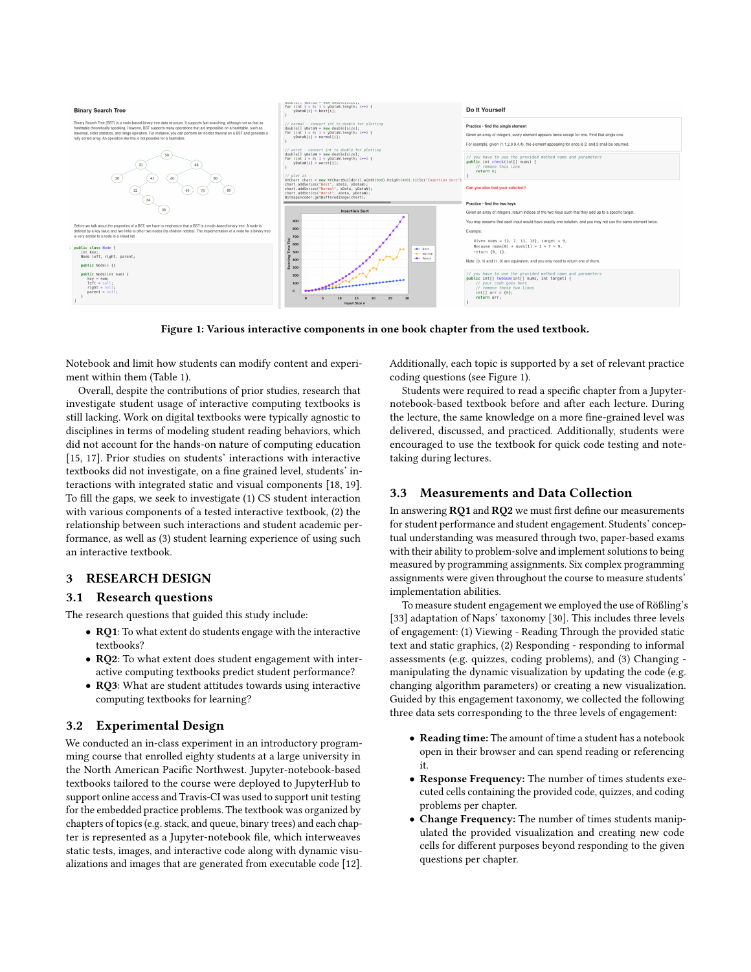<span id="page-2-0"></span>

Figure 1: Various interactive components in one book chapter from the used textbook.

Notebook and limit how students can modify content and experiment within them (Table [1\)](#page-1-0).

Overall, despite the contributions of prior studies, research that investigate student usage of interactive computing textbooks is still lacking. Work on digital textbooks were typically agnostic to disciplines in terms of modeling student reading behaviors, which did not account for the hands-on nature of computing education [\[15,](#page-6-13) [17\]](#page-6-14). Prior studies on students' interactions with interactive textbooks did not investigate, on a fine grained level, students' interactions with integrated static and visual components [\[18,](#page-6-15) [19\]](#page-6-16). To fill the gaps, we seek to investigate (1) CS student interaction with various components of a tested interactive textbook, (2) the relationship between such interactions and student academic performance, as well as (3) student learning experience of using such an interactive textbook.

#### 3 RESEARCH DESIGN

## 3.1 Research questions

The research questions that guided this study include:

- RQ1: To what extent do students engage with the interactive textbooks?
- RQ2: To what extent does student engagement with interactive computing textbooks predict student performance?
- RQ3: What are student attitudes towards using interactive computing textbooks for learning?

## 3.2 Experimental Design

We conducted an in-class experiment in an introductory programming course that enrolled eighty students at a large university in the North American Pacific Northwest. Jupyter-notebook-based textbooks tailored to the course were deployed to JupyterHub to support online access and Travis-CI was used to support unit testing for the embedded practice problems. The textbook was organized by chapters of topics (e.g. stack, and queue, binary trees) and each chapter is represented as a Jupyter-notebook file, which interweaves static tests, images, and interactive code along with dynamic visualizations and images that are generated from executable code [\[12\]](#page-6-10). Additionally, each topic is supported by a set of relevant practice coding questions (see Figure [1\)](#page-2-0).

Students were required to read a specific chapter from a Jupyternotebook-based textbook before and after each lecture. During the lecture, the same knowledge on a more fine-grained level was delivered, discussed, and practiced. Additionally, students were encouraged to use the textbook for quick code testing and notetaking during lectures.

# 3.3 Measurements and Data Collection

In answering RQ1 and RQ2 we must first define our measurements for student performance and student engagement. Students' conceptual understanding was measured through two, paper-based exams with their ability to problem-solve and implement solutions to being measured by programming assignments. Six complex programming assignments were given throughout the course to measure students' implementation abilities.

To measure student engagement we employed the use of Rößling's [\[33\]](#page-6-28) adaptation of Naps' taxonomy [\[30\]](#page-6-25). This includes three levels of engagement: (1) Viewing - Reading Through the provided static text and static graphics, (2) Responding - responding to informal assessments (e.g. quizzes, coding problems), and (3) Changing manipulating the dynamic visualization by updating the code (e.g. changing algorithm parameters) or creating a new visualization. Guided by this engagement taxonomy, we collected the following three data sets corresponding to the three levels of engagement:

- Reading time: The amount of time a student has a notebook open in their browser and can spend reading or referencing it.
- Response Frequency: The number of times students executed cells containing the provided code, quizzes, and coding problems per chapter.
- Change Frequency: The number of times students manipulated the provided visualization and creating new code cells for different purposes beyond responding to the given questions per chapter.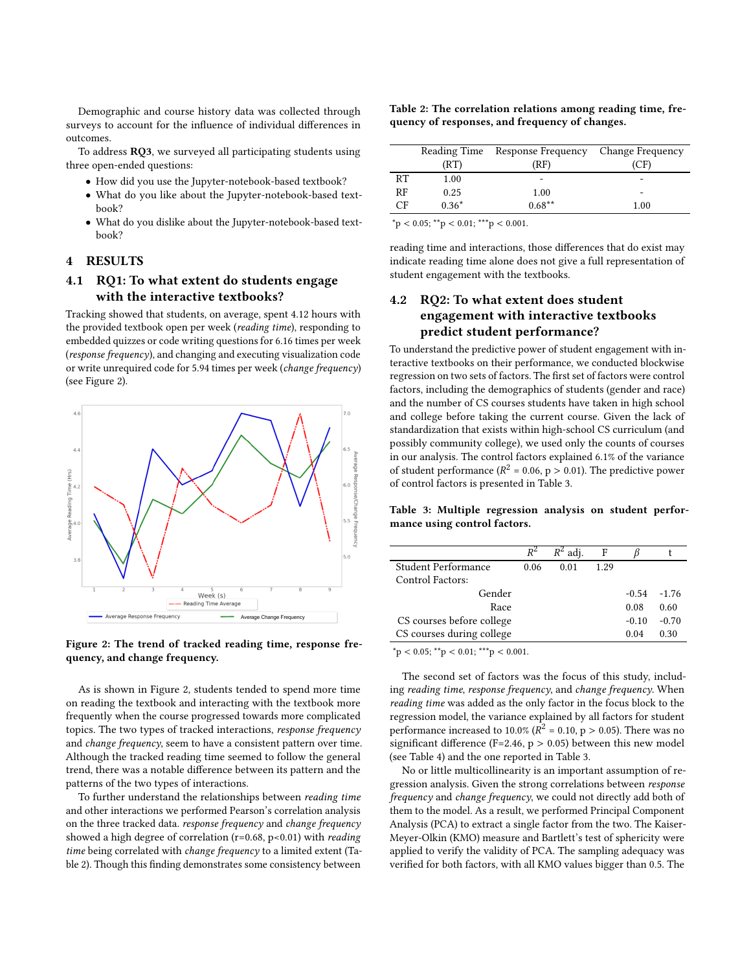Demographic and course history data was collected through surveys to account for the influence of individual differences in outcomes.

To address RQ3, we surveyed all participating students using three open-ended questions:

- How did you use the Jupyter-notebook-based textbook?
- What do you like about the Jupyter-notebook-based textbook?
- What do you dislike about the Jupyter-notebook-based textbook?

#### 4 RESULTS

# 4.1 RQ1: To what extent do students engage with the interactive textbooks?

Tracking showed that students, on average, spent 4.12 hours with the provided textbook open per week (reading time), responding to embedded quizzes or code writing questions for 6.16 times per week (response frequency), and changing and executing visualization code or write unrequired code for 5.94 times per week (change frequency) (see Figure [2\)](#page-3-0).

<span id="page-3-0"></span>



As is shown in Figure [2,](#page-3-0) students tended to spend more time on reading the textbook and interacting with the textbook more frequently when the course progressed towards more complicated topics. The two types of tracked interactions, response frequency and change frequency, seem to have a consistent pattern over time. Although the tracked reading time seemed to follow the general trend, there was a notable difference between its pattern and the patterns of the two types of interactions.

To further understand the relationships between reading time and other interactions we performed Pearson's correlation analysis on the three tracked data. response frequency and change frequency showed a high degree of correlation (r=0.68, p<0.01) with *reading* time being correlated with change frequency to a limited extent (Table [2\)](#page-3-1). Though this finding demonstrates some consistency between

#### <span id="page-3-1"></span>Table 2: The correlation relations among reading time, frequency of responses, and frequency of changes.

|    |         | Reading Time Response Frequency Change Frequency |      |
|----|---------|--------------------------------------------------|------|
|    | (RT)    | (RF)                                             | ΄CF  |
| RT | 1.00    | $\overline{\phantom{a}}$                         |      |
| RF | 0.25    | 1.00                                             |      |
| CF | $0.36*$ | $0.68***$                                        | 1.00 |
|    |         |                                                  |      |

 $*$ p < 0.05;  $*$  $*$ p < 0.01;  $*$  $*$  $*$ p < 0.001.

reading time and interactions, those differences that do exist may indicate reading time alone does not give a full representation of student engagement with the textbooks.

# 4.2 RQ2: To what extent does student engagement with interactive textbooks predict student performance?

To understand the predictive power of student engagement with interactive textbooks on their performance, we conducted blockwise regression on two sets of factors. The first set of factors were control factors, including the demographics of students (gender and race) and the number of CS courses students have taken in high school and college before taking the current course. Given the lack of standardization that exists within high-school CS curriculum (and possibly community college), we used only the counts of courses in our analysis. The control factors explained 6.1% of the variance of student performance ( $R^2 = 0.06$ , p > 0.01). The predictive power of control factors is presented in Table [3.](#page-3-2)

#### <span id="page-3-2"></span>Table 3: Multiple regression analysis on student performance using control factors.

|                           | $R^2$ | $R^2$ adj. | F    |         |         |
|---------------------------|-------|------------|------|---------|---------|
| Student Performance       | 0.06  | 0.01       | 1.29 |         |         |
| Control Factors:          |       |            |      |         |         |
| Gender                    |       |            |      | $-0.54$ | $-1.76$ |
| Race                      |       |            |      | 0.08    | 0.60    |
| CS courses before college |       |            |      | $-0.10$ | $-0.70$ |
| CS courses during college |       |            |      | 0.04    | 0.30    |

 $*_p$  < 0.05;  $*_p$  < 0.01;  $**_p$  < 0.001.

The second set of factors was the focus of this study, including reading time, response frequency, and change frequency. When reading time was added as the only factor in the focus block to the regression model, the variance explained by all factors for student performance increased to 10.0% ( $\overline{R^2}$  = 0.10, p > 0.05). There was no significant difference (F=2.46,  $p > 0.05$ ) between this new model (see Table [4\)](#page-4-0) and the one reported in Table [3.](#page-3-2)

No or little multicollinearity is an important assumption of regression analysis. Given the strong correlations between response frequency and change frequency, we could not directly add both of them to the model. As a result, we performed Principal Component Analysis (PCA) to extract a single factor from the two. The Kaiser-Meyer-Olkin (KMO) measure and Bartlett's test of sphericity were applied to verify the validity of PCA. The sampling adequacy was verified for both factors, with all KMO values bigger than 0.5. The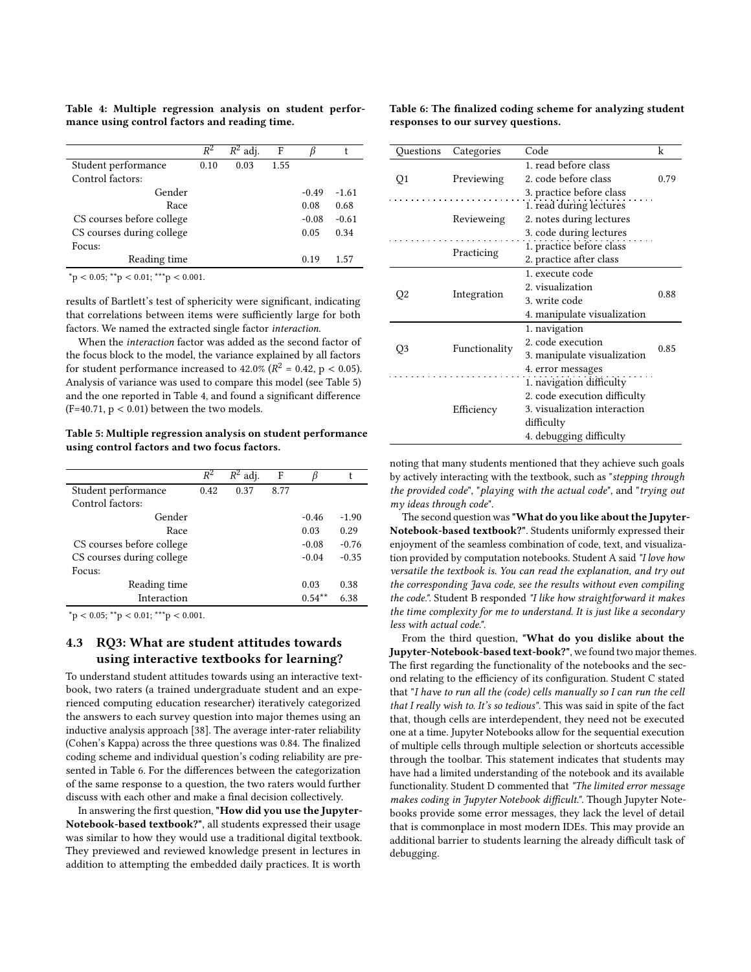<span id="page-4-0"></span>Table 4: Multiple regression analysis on student performance using control factors and reading time.

|                           | $R^2$ | $R^2$ adj. | F    |         |         |
|---------------------------|-------|------------|------|---------|---------|
| Student performance       | 0.10  | 0.03       | 1.55 |         |         |
| Control factors:          |       |            |      |         |         |
| Gender                    |       |            |      | $-0.49$ | $-1.61$ |
| Race                      |       |            |      | 0.08    | 0.68    |
| CS courses before college |       |            |      | $-0.08$ | $-0.61$ |
| CS courses during college |       |            |      | 0.05    | 0.34    |
| Focus:                    |       |            |      |         |         |
| Reading time              |       |            |      | 0.19    | 1.57    |
| ÷<br>. .                  |       |            |      |         |         |

 $p < 0.05$ ; \*\*p  $< 0.01$ ; \*\*\*p  $< 0.001$ .

results of Bartlett's test of sphericity were significant, indicating that correlations between items were sufficiently large for both factors. We named the extracted single factor interaction.

When the interaction factor was added as the second factor of the focus block to the model, the variance explained by all factors for student performance increased to  $42.0\%$   $(R^2 = 0.42, p < 0.05)$ . Analysis of variance was used to compare this model (see Table [5\)](#page-4-1) and the one reported in Table [4,](#page-4-0) and found a significant difference  $(F=40.71, p < 0.01)$  between the two models.

<span id="page-4-1"></span>Table 5: Multiple regression analysis on student performance using control factors and two focus factors.

|                           | $R^2$ | $R^2$ adj. | F    |           |         |
|---------------------------|-------|------------|------|-----------|---------|
| Student performance       | 0.42  | 0.37       | 8.77 |           |         |
| Control factors:          |       |            |      |           |         |
| Gender                    |       |            |      | $-0.46$   | $-1.90$ |
| Race                      |       |            |      | 0.03      | 0.29    |
| CS courses before college |       |            |      | $-0.08$   | $-0.76$ |
| CS courses during college |       |            |      | $-0.04$   | $-0.35$ |
| Focus:                    |       |            |      |           |         |
| Reading time              |       |            |      | 0.03      | 0.38    |
| Interaction               |       |            |      | $0.54***$ | 6.38    |

 $*$ p < 0.05;  $*$  $*$ p < 0.01;  $*$  $*$  $*$ p < 0.001.

# 4.3 RQ3: What are student attitudes towards using interactive textbooks for learning?

To understand student attitudes towards using an interactive textbook, two raters (a trained undergraduate student and an experienced computing education researcher) iteratively categorized the answers to each survey question into major themes using an inductive analysis approach [\[38\]](#page-6-33). The average inter-rater reliability (Cohen's Kappa) across the three questions was 0.84. The finalized coding scheme and individual question's coding reliability are presented in Table [6.](#page-4-2) For the differences between the categorization of the same response to a question, the two raters would further discuss with each other and make a final decision collectively.

In answering the first question, "How did you use the Jupyter-Notebook-based textbook?", all students expressed their usage was similar to how they would use a traditional digital textbook. They previewed and reviewed knowledge present in lectures in addition to attempting the embedded daily practices. It is worth

<span id="page-4-2"></span>Table 6: The finalized coding scheme for analyzing student responses to our survey questions.

| Questions | Categories    | Code                         | k    |  |  |
|-----------|---------------|------------------------------|------|--|--|
|           |               | 1. read before class         |      |  |  |
| Q1        | Previewing    | 2. code before class         |      |  |  |
|           |               | 3. practice before class     |      |  |  |
|           |               | 1. read during lectures      |      |  |  |
|           | Revieweing    | 2. notes during lectures     |      |  |  |
|           |               | 3. code during lectures      |      |  |  |
|           |               | 1. practice before class     |      |  |  |
|           | Practicing    | 2. practice after class      |      |  |  |
|           |               | 1. execute code              |      |  |  |
|           | Integration   | 2. visualization             | 0.88 |  |  |
| Q2        |               | 3. write code                |      |  |  |
|           |               | 4. manipulate visualization  |      |  |  |
|           |               | 1. navigation                |      |  |  |
|           | Functionality | 2. code execution            | 0.85 |  |  |
| Q3        |               | 3. manipulate visualization  |      |  |  |
|           |               | 4. error messages            |      |  |  |
|           |               | 1. navigation difficulty     |      |  |  |
|           |               | 2. code execution difficulty |      |  |  |
|           | Efficiency    | 3. visualization interaction |      |  |  |
|           |               | difficulty                   |      |  |  |
|           |               | 4. debugging difficulty      |      |  |  |

noting that many students mentioned that they achieve such goals by actively interacting with the textbook, such as "stepping through the provided code", "playing with the actual code", and "trying out my ideas through code".

The second question was"What do you like about the Jupyter-Notebook-based textbook?". Students uniformly expressed their enjoyment of the seamless combination of code, text, and visualization provided by computation notebooks. Student A said "I love how versatile the textbook is. You can read the explanation, and try out the corresponding Java code, see the results without even compiling the code.". Student B responded "I like how straightforward it makes the time complexity for me to understand. It is just like a secondary less with actual code.".

From the third question, "What do you dislike about the Jupyter-Notebook-based text-book?", we found two major themes. The first regarding the functionality of the notebooks and the second relating to the efficiency of its configuration. Student C stated that "I have to run all the (code) cells manually so I can run the cell that I really wish to. It's so tedious". This was said in spite of the fact that, though cells are interdependent, they need not be executed one at a time. Jupyter Notebooks allow for the sequential execution of multiple cells through multiple selection or shortcuts accessible through the toolbar. This statement indicates that students may have had a limited understanding of the notebook and its available functionality. Student D commented that "The limited error message makes coding in Jupyter Notebook difficult.". Though Jupyter Notebooks provide some error messages, they lack the level of detail that is commonplace in most modern IDEs. This may provide an additional barrier to students learning the already difficult task of debugging.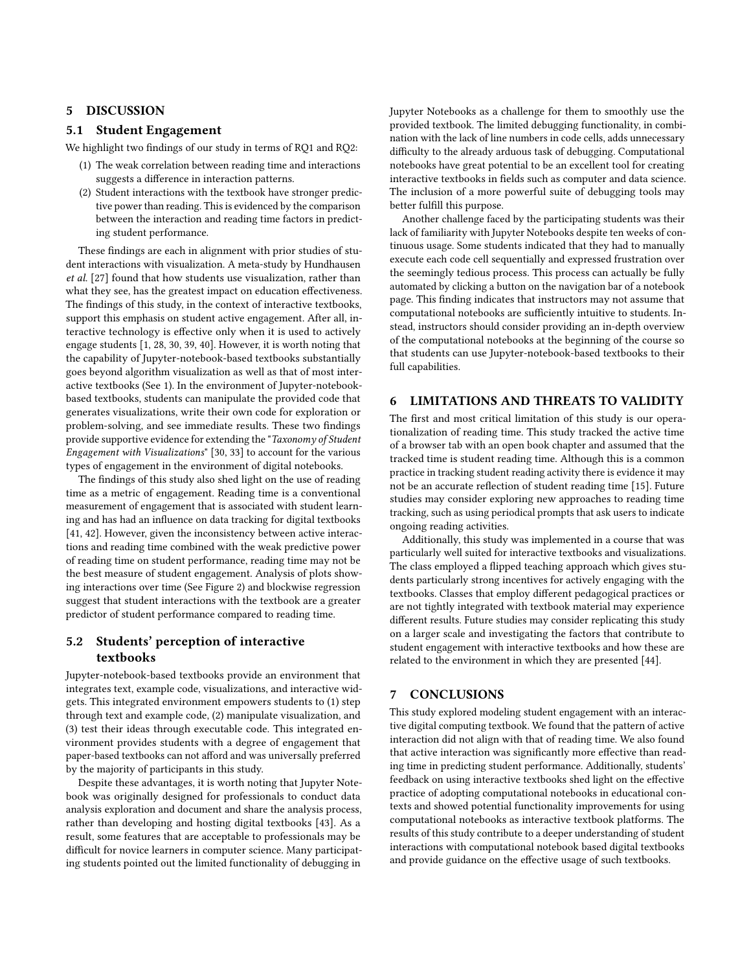## 5 DISCUSSION

#### 5.1 Student Engagement

We highlight two findings of our study in terms of RQ1 and RQ2:

- (1) The weak correlation between reading time and interactions suggests a difference in interaction patterns.
- (2) Student interactions with the textbook have stronger predictive power than reading. This is evidenced by the comparison between the interaction and reading time factors in predicting student performance.

These findings are each in alignment with prior studies of student interactions with visualization. A meta-study by Hundhausen et al. [\[27\]](#page-6-23) found that how students use visualization, rather than what they see, has the greatest impact on education effectiveness. The findings of this study, in the context of interactive textbooks, support this emphasis on student active engagement. After all, interactive technology is effective only when it is used to actively engage students [\[1,](#page-6-1) [28,](#page-6-34) [30,](#page-6-25) [39,](#page-6-35) [40\]](#page-6-36). However, it is worth noting that the capability of Jupyter-notebook-based textbooks substantially goes beyond algorithm visualization as well as that of most interactive textbooks (See [1\)](#page-1-0). In the environment of Jupyter-notebookbased textbooks, students can manipulate the provided code that generates visualizations, write their own code for exploration or problem-solving, and see immediate results. These two findings provide supportive evidence for extending the "Taxonomy of Student Engagement with Visualizations" [\[30,](#page-6-25) [33\]](#page-6-28) to account for the various types of engagement in the environment of digital notebooks.

The findings of this study also shed light on the use of reading time as a metric of engagement. Reading time is a conventional measurement of engagement that is associated with student learning and has had an influence on data tracking for digital textbooks [\[41,](#page-6-37) [42\]](#page-6-38). However, given the inconsistency between active interactions and reading time combined with the weak predictive power of reading time on student performance, reading time may not be the best measure of student engagement. Analysis of plots showing interactions over time (See Figure [2\)](#page-3-0) and blockwise regression suggest that student interactions with the textbook are a greater predictor of student performance compared to reading time.

# 5.2 Students' perception of interactive textbooks

Jupyter-notebook-based textbooks provide an environment that integrates text, example code, visualizations, and interactive widgets. This integrated environment empowers students to (1) step through text and example code, (2) manipulate visualization, and (3) test their ideas through executable code. This integrated environment provides students with a degree of engagement that paper-based textbooks can not afford and was universally preferred by the majority of participants in this study.

Despite these advantages, it is worth noting that Jupyter Notebook was originally designed for professionals to conduct data analysis exploration and document and share the analysis process, rather than developing and hosting digital textbooks [\[43\]](#page-6-39). As a result, some features that are acceptable to professionals may be difficult for novice learners in computer science. Many participating students pointed out the limited functionality of debugging in

Jupyter Notebooks as a challenge for them to smoothly use the provided textbook. The limited debugging functionality, in combination with the lack of line numbers in code cells, adds unnecessary difficulty to the already arduous task of debugging. Computational notebooks have great potential to be an excellent tool for creating interactive textbooks in fields such as computer and data science. The inclusion of a more powerful suite of debugging tools may better fulfill this purpose.

Another challenge faced by the participating students was their lack of familiarity with Jupyter Notebooks despite ten weeks of continuous usage. Some students indicated that they had to manually execute each code cell sequentially and expressed frustration over the seemingly tedious process. This process can actually be fully automated by clicking a button on the navigation bar of a notebook page. This finding indicates that instructors may not assume that computational notebooks are sufficiently intuitive to students. Instead, instructors should consider providing an in-depth overview of the computational notebooks at the beginning of the course so that students can use Jupyter-notebook-based textbooks to their full capabilities.

#### 6 LIMITATIONS AND THREATS TO VALIDITY

The first and most critical limitation of this study is our operationalization of reading time. This study tracked the active time of a browser tab with an open book chapter and assumed that the tracked time is student reading time. Although this is a common practice in tracking student reading activity there is evidence it may not be an accurate reflection of student reading time [\[15\]](#page-6-13). Future studies may consider exploring new approaches to reading time tracking, such as using periodical prompts that ask users to indicate ongoing reading activities.

Additionally, this study was implemented in a course that was particularly well suited for interactive textbooks and visualizations. The class employed a flipped teaching approach which gives students particularly strong incentives for actively engaging with the textbooks. Classes that employ different pedagogical practices or are not tightly integrated with textbook material may experience different results. Future studies may consider replicating this study on a larger scale and investigating the factors that contribute to student engagement with interactive textbooks and how these are related to the environment in which they are presented [\[44\]](#page-6-40).

# 7 CONCLUSIONS

This study explored modeling student engagement with an interactive digital computing textbook. We found that the pattern of active interaction did not align with that of reading time. We also found that active interaction was significantly more effective than reading time in predicting student performance. Additionally, students' feedback on using interactive textbooks shed light on the effective practice of adopting computational notebooks in educational contexts and showed potential functionality improvements for using computational notebooks as interactive textbook platforms. The results of this study contribute to a deeper understanding of student interactions with computational notebook based digital textbooks and provide guidance on the effective usage of such textbooks.